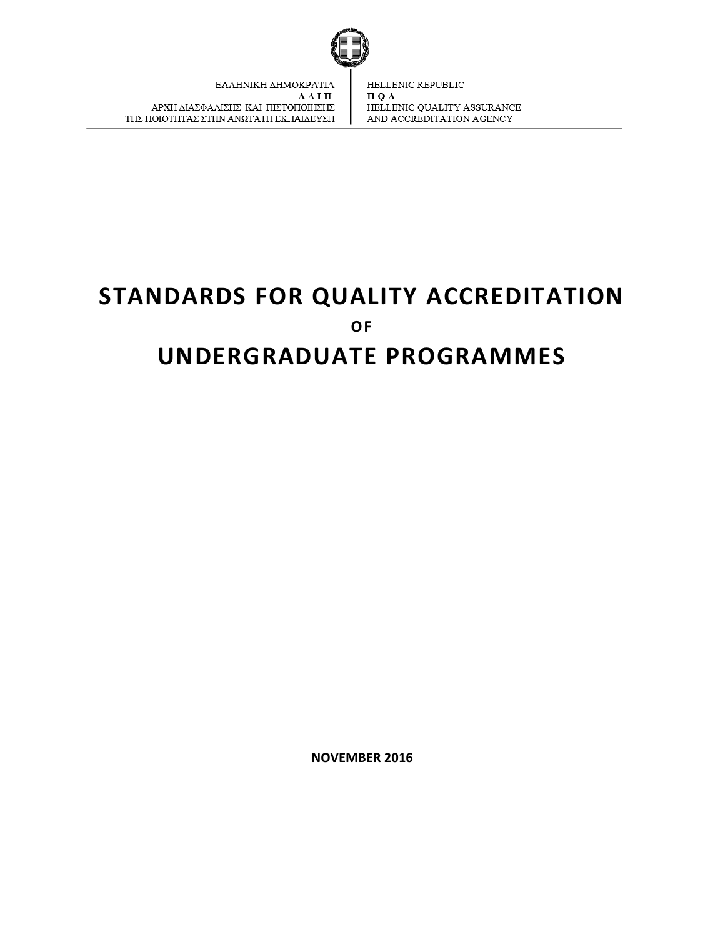

# **STANDARDS FOR QUALITY ACCREDITATION OF UNDERGRADUATE PROGRAMMES**

**NOVEMBER 2016**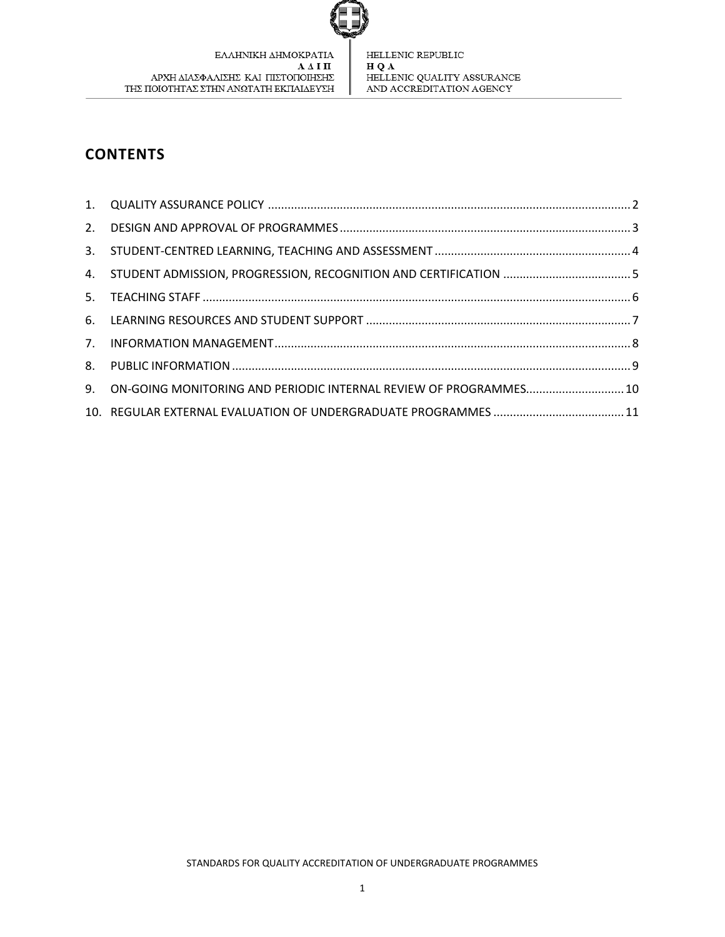

## **CONTENTS**

| 4. STUDENT ADMISSION, PROGRESSION, RECOGNITION AND CERTIFICATION  5  |  |
|----------------------------------------------------------------------|--|
|                                                                      |  |
|                                                                      |  |
|                                                                      |  |
|                                                                      |  |
| 9. ON-GOING MONITORING AND PERIODIC INTERNAL REVIEW OF PROGRAMMES 10 |  |
|                                                                      |  |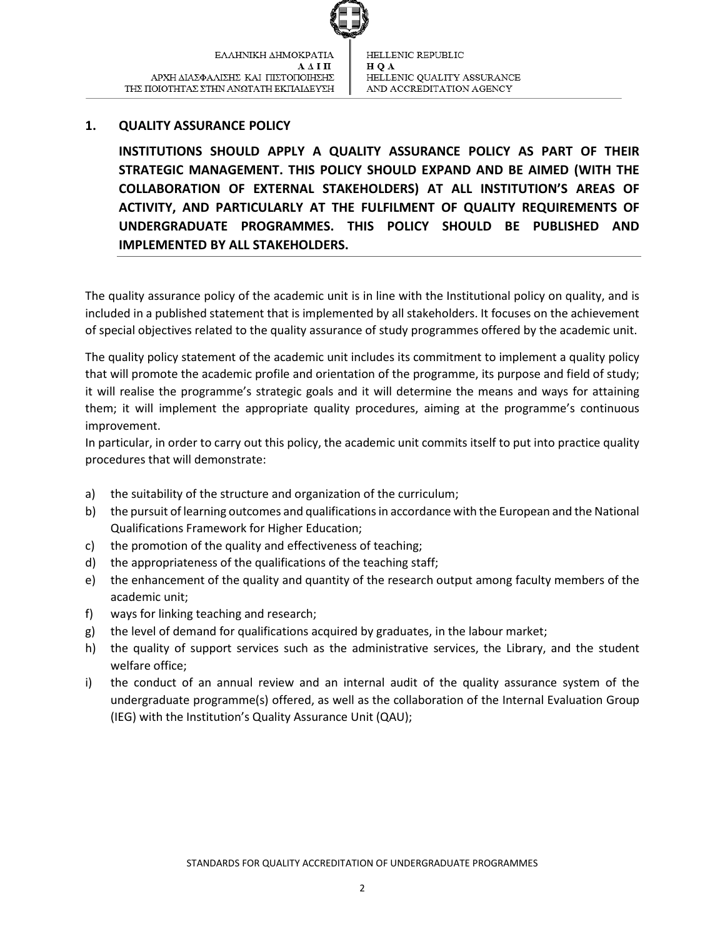

## <span id="page-2-0"></span>**1. QUALITY ASSURANCE POLICY**

**INSTITUTIONS SHOULD APPLY A QUALITY ASSURANCE POLICY AS PART OF THEIR STRATEGIC MANAGEMENT. THIS POLICY SHOULD EXPAND AND BE AIMED (WITH THE COLLABORATION OF EXTERNAL STAKEHOLDERS) AT ALL INSTITUTION'S AREAS OF ACTIVITY, AND PARTICULARLY AT THE FULFILMENT OF QUALITY REQUIREMENTS OF UNDERGRADUATE PROGRAMMES. THIS POLICY SHOULD BE PUBLISHED AND IMPLEMENTED BY ALL STAKEHOLDERS.** 

The quality assurance policy of the academic unit is in line with the Institutional policy on quality, and is included in a published statement that is implemented by all stakeholders. It focuses on the achievement of special objectives related to the quality assurance of study programmes offered by the academic unit.

The quality policy statement of the academic unit includes its commitment to implement a quality policy that will promote the academic profile and orientation of the programme, its purpose and field of study; it will realise the programme's strategic goals and it will determine the means and ways for attaining them; it will implement the appropriate quality procedures, aiming at the programme's continuous improvement.

In particular, in order to carry out this policy, the academic unit commits itself to put into practice quality procedures that will demonstrate:

- a) the suitability of the structure and organization of the curriculum;
- b) the pursuit of learning outcomes and qualifications in accordance with the European and the National Qualifications Framework for Higher Education;
- c) the promotion of the quality and effectiveness of teaching;
- d) the appropriateness of the qualifications of the teaching staff;
- e) the enhancement of the quality and quantity of the research output among faculty members of the academic unit;
- f) ways for linking teaching and research;
- g) the level of demand for qualifications acquired by graduates, in the labour market;
- h) the quality of support services such as the administrative services, the Library, and the student welfare office;
- i) the conduct of an annual review and an internal audit of the quality assurance system of the undergraduate programme(s) offered, as well as the collaboration of the Internal Evaluation Group (IEG) with the Institution's Quality Assurance Unit (QAU);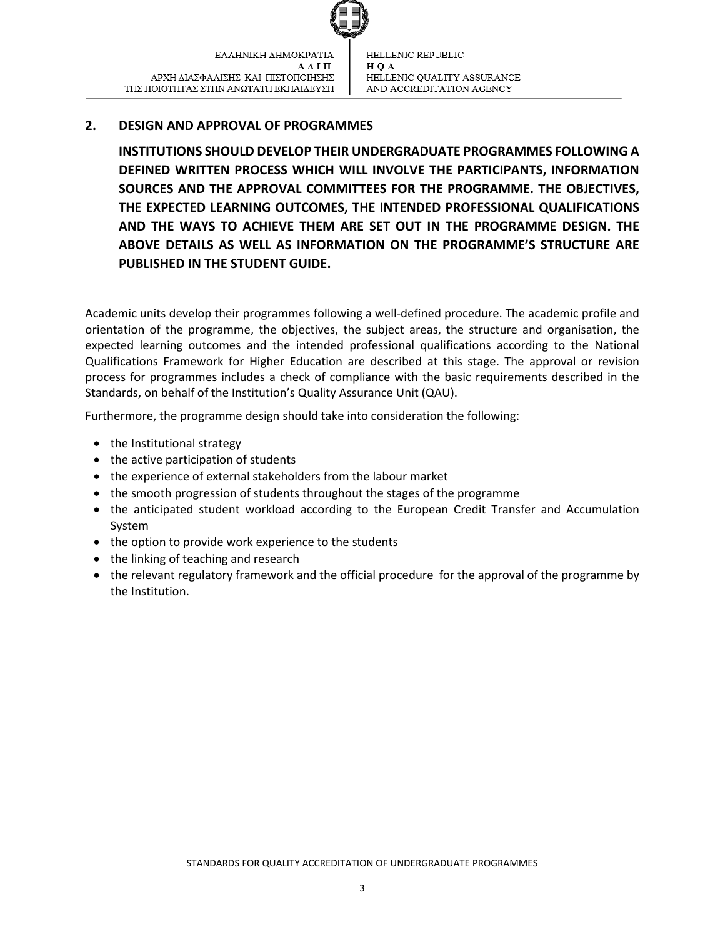

## <span id="page-3-0"></span>**2. DESIGN AND APPROVAL OF PROGRAMMES**

**INSTITUTIONS SHOULD DEVELOP THEIR UNDERGRADUATE PROGRAMMES FOLLOWING A DEFINED WRITTEN PROCESS WHICH WILL INVOLVE THE PARTICIPANTS, INFORMATION SOURCES AND THE APPROVAL COMMITTEES FOR THE PROGRAMME. THE OBJECTIVES, THE EXPECTED LEARNING OUTCOMES, THE INTENDED PROFESSIONAL QUALIFICATIONS AND THE WAYS TO ACHIEVE THEM ARE SET OUT IN THE PROGRAMME DESIGN. THE ABOVE DETAILS AS WELL AS INFORMATION ON THE PROGRAMME'S STRUCTURE ARE PUBLISHED IN THE STUDENT GUIDE.**

Academic units develop their programmes following a well-defined procedure. The academic profile and orientation of the programme, the objectives, the subject areas, the structure and organisation, the expected learning outcomes and the intended professional qualifications according to the National Qualifications Framework for Higher Education are described at this stage. The approval or revision process for programmes includes a check of compliance with the basic requirements described in the Standards, on behalf of the Institution's Quality Assurance Unit (QAU).

Furthermore, the programme design should take into consideration the following:

- the Institutional strategy
- $\bullet$  the active participation of students
- the experience of external stakeholders from the labour market
- the smooth progression of students throughout the stages of the programme
- the anticipated student workload according to the European Credit Transfer and Accumulation System
- the option to provide work experience to the students
- the linking of teaching and research
- the relevant regulatory framework and the official procedure for the approval of the programme by the Institution.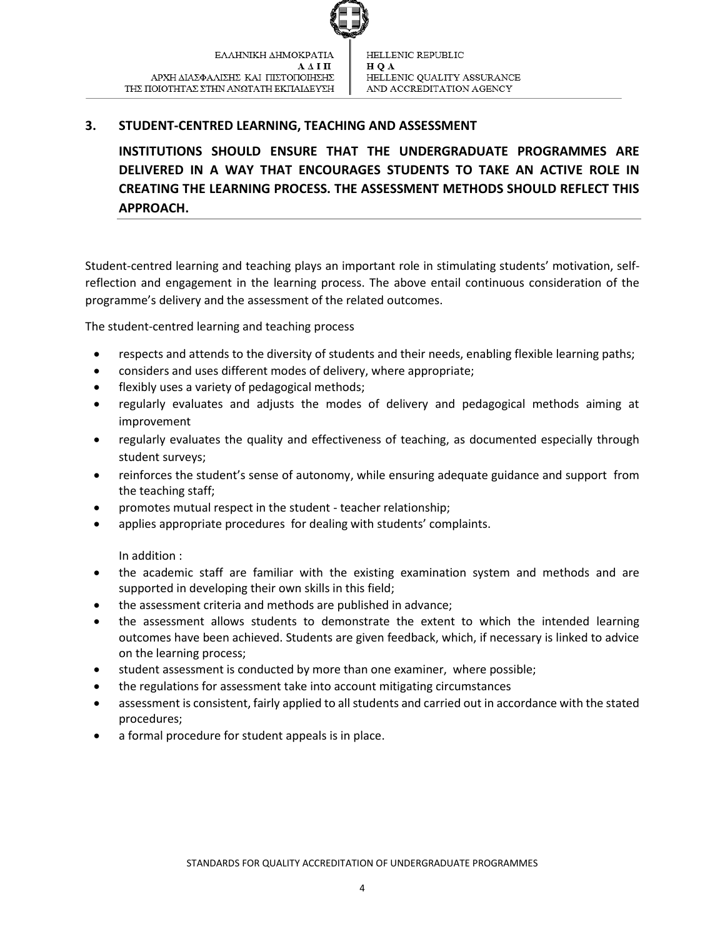

## <span id="page-4-0"></span>**3. STUDENT-CENTRED LEARNING, TEACHING AND ASSESSMENT**

**INSTITUTIONS SHOULD ENSURE THAT THE UNDERGRADUATE PROGRAMMES ARE DELIVERED IN A WAY THAT ENCOURAGES STUDENTS TO TAKE AN ACTIVE ROLE IN CREATING THE LEARNING PROCESS. THE ASSESSMENT METHODS SHOULD REFLECT THIS APPROACH.** 

Student-centred learning and teaching plays an important role in stimulating students' motivation, selfreflection and engagement in the learning process. The above entail continuous consideration of the programme's delivery and the assessment of the related outcomes.

The student-centred learning and teaching process

- respects and attends to the diversity of students and their needs, enabling flexible learning paths;
- considers and uses different modes of delivery, where appropriate;
- flexibly uses a variety of pedagogical methods;
- regularly evaluates and adjusts the modes of delivery and pedagogical methods aiming at improvement
- regularly evaluates the quality and effectiveness of teaching, as documented especially through student surveys;
- reinforces the student's sense of autonomy, while ensuring adequate guidance and support from the teaching staff;
- promotes mutual respect in the student teacher relationship;
- applies appropriate procedures for dealing with students' complaints.

In addition :

- the academic staff are familiar with the existing examination system and methods and are supported in developing their own skills in this field;
- the assessment criteria and methods are published in advance;
- the assessment allows students to demonstrate the extent to which the intended learning outcomes have been achieved. Students are given feedback, which, if necessary is linked to advice on the learning process;
- student assessment is conducted by more than one examiner, where possible;
- the regulations for assessment take into account mitigating circumstances
- assessment is consistent, fairly applied to all students and carried out in accordance with the stated procedures;
- a formal procedure for student appeals is in place.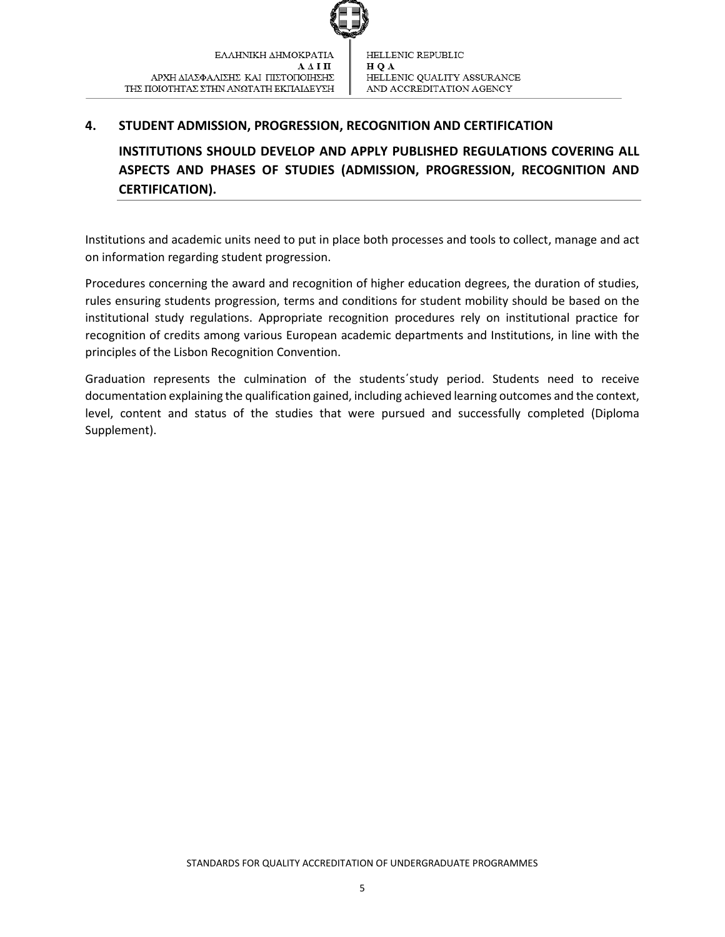

## <span id="page-5-0"></span>**4. STUDENT ADMISSION, PROGRESSION, RECOGNITION AND CERTIFICATION**

**INSTITUTIONS SHOULD DEVELOP AND APPLY PUBLISHED REGULATIONS COVERING ALL ASPECTS AND PHASES OF STUDIES (ADMISSION, PROGRESSION, RECOGNITION AND CERTIFICATION).**

Institutions and academic units need to put in place both processes and tools to collect, manage and act on information regarding student progression.

Procedures concerning the award and recognition of higher education degrees, the duration of studies, rules ensuring students progression, terms and conditions for student mobility should be based on the institutional study regulations. Appropriate recognition procedures rely on institutional practice for recognition of credits among various European academic departments and Institutions, in line with the principles of the Lisbon Recognition Convention.

Graduation represents the culmination of the students΄study period. Students need to receive documentation explaining the qualification gained, including achieved learning outcomes and the context, level, content and status of the studies that were pursued and successfully completed (Diploma Supplement).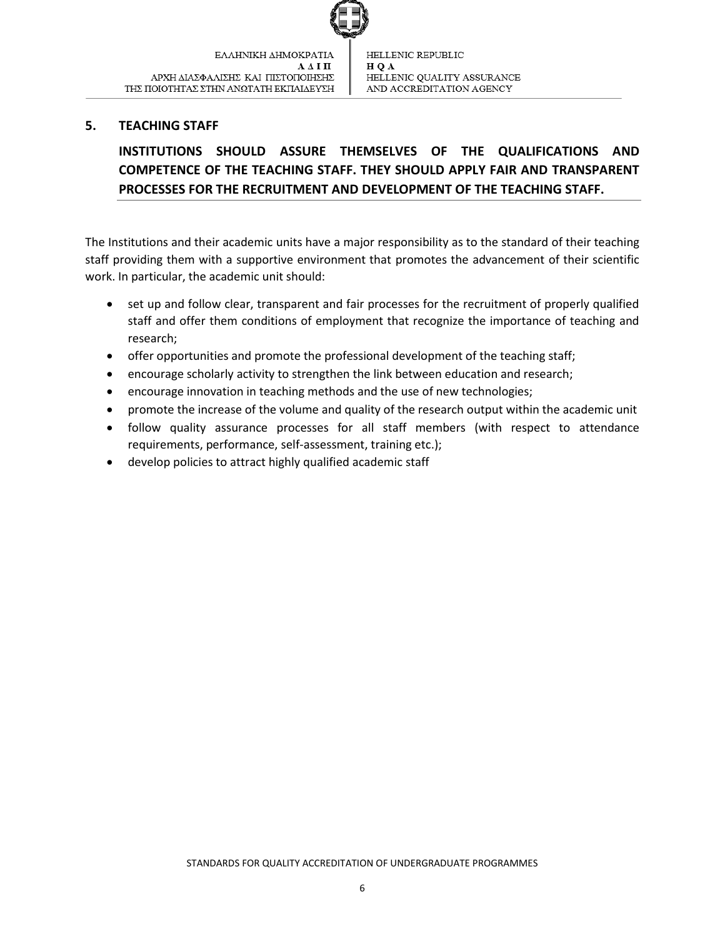

## <span id="page-6-0"></span>**5. TEACHING STAFF**

## **INSTITUTIONS SHOULD ASSURE THEMSELVES OF THE QUALIFICATIONS AND COMPETENCE OF THE TEACHING STAFF. THEY SHOULD APPLY FAIR AND TRANSPARENT PROCESSES FOR THE RECRUITMENT AND DEVELOPMENT OF THE TEACHING STAFF.**

The Institutions and their academic units have a major responsibility as to the standard of their teaching staff providing them with a supportive environment that promotes the advancement of their scientific work. In particular, the academic unit should:

- set up and follow clear, transparent and fair processes for the recruitment of properly qualified staff and offer them conditions of employment that recognize the importance of teaching and research;
- offer opportunities and promote the professional development of the teaching staff;
- encourage scholarly activity to strengthen the link between education and research;
- encourage innovation in teaching methods and the use of new technologies;
- promote the increase of the volume and quality of the research output within the academic unit
- follow quality assurance processes for all staff members (with respect to attendance requirements, performance, self-assessment, training etc.);
- develop policies to attract highly qualified academic staff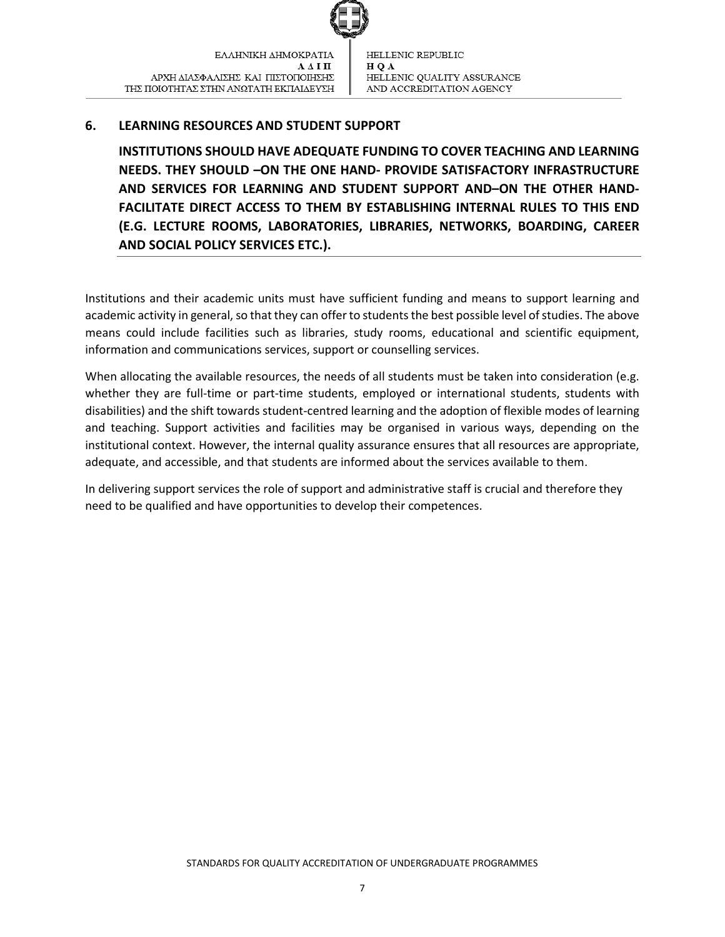

## <span id="page-7-0"></span>**6. LEARNING RESOURCES AND STUDENT SUPPORT**

**INSTITUTIONS SHOULD HAVE ADEQUATE FUNDING TO COVER TEACHING AND LEARNING NEEDS. THEY SHOULD –ON THE ONE HAND- PROVIDE SATISFACTORY INFRASTRUCTURE AND SERVICES FOR LEARNING AND STUDENT SUPPORT AND–ON THE OTHER HAND-FACILITATE DIRECT ACCESS TO THEM BY ESTABLISHING INTERNAL RULES TO THIS END (E.G. LECTURE ROOMS, LABORATORIES, LIBRARIES, NETWORKS, BOARDING, CAREER AND SOCIAL POLICY SERVICES ETC.).** 

Institutions and their academic units must have sufficient funding and means to support learning and academic activity in general, so that they can offerto studentsthe best possible level of studies. The above means could include facilities such as libraries, study rooms, educational and scientific equipment, information and communications services, support or counselling services.

When allocating the available resources, the needs of all students must be taken into consideration (e.g. whether they are full-time or part-time students, employed or international students, students with disabilities) and the shift towards student-centred learning and the adoption of flexible modes of learning and teaching. Support activities and facilities may be organised in various ways, depending on the institutional context. However, the internal quality assurance ensures that all resources are appropriate, adequate, and accessible, and that students are informed about the services available to them.

In delivering support services the role of support and administrative staff is crucial and therefore they need to be qualified and have opportunities to develop their competences.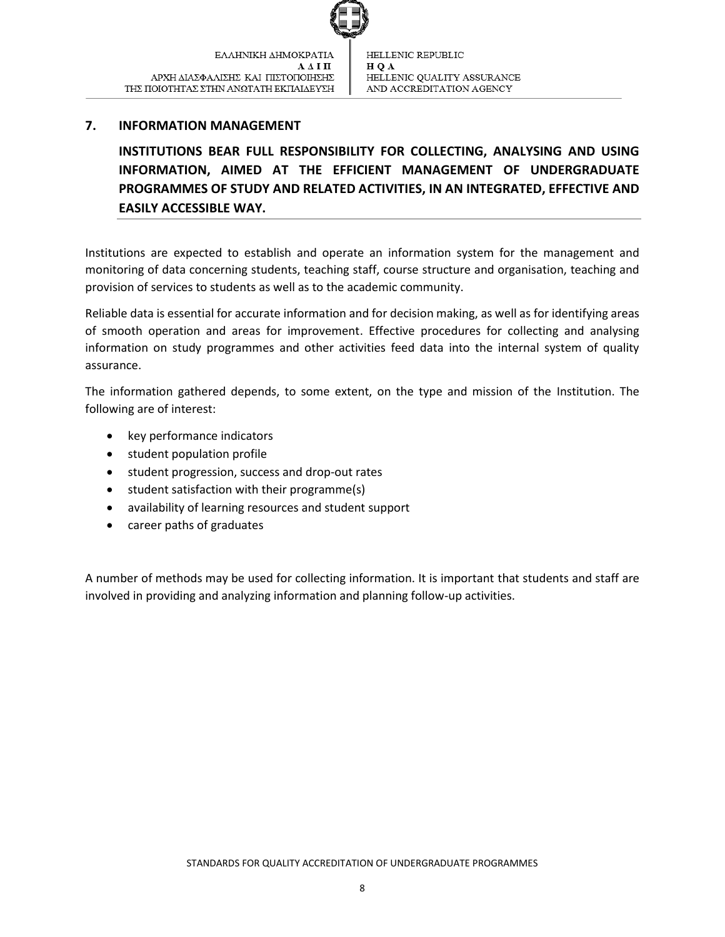

## <span id="page-8-0"></span>**7. INFORMATION MANAGEMENT**

**INSTITUTIONS BEAR FULL RESPONSIBILITY FOR COLLECTING, ANALYSING AND USING INFORMATION, AIMED AT THE EFFICIENT MANAGEMENT OF UNDERGRADUATE PROGRAMMES OF STUDY AND RELATED ACTIVITIES, IN AN INTEGRATED, EFFECTIVE AND EASILY ACCESSIBLE WAY.** 

Institutions are expected to establish and operate an information system for the management and monitoring of data concerning students, teaching staff, course structure and organisation, teaching and provision of services to students as well as to the academic community.

Reliable data is essential for accurate information and for decision making, as well as for identifying areas of smooth operation and areas for improvement. Effective procedures for collecting and analysing information on study programmes and other activities feed data into the internal system of quality assurance.

The information gathered depends, to some extent, on the type and mission of the Institution. The following are of interest:

- key performance indicators
- **•** student population profile
- student progression, success and drop-out rates
- $\bullet$  student satisfaction with their programme(s)
- availability of learning resources and student support
- career paths of graduates

A number of methods may be used for collecting information. It is important that students and staff are involved in providing and analyzing information and planning follow-up activities.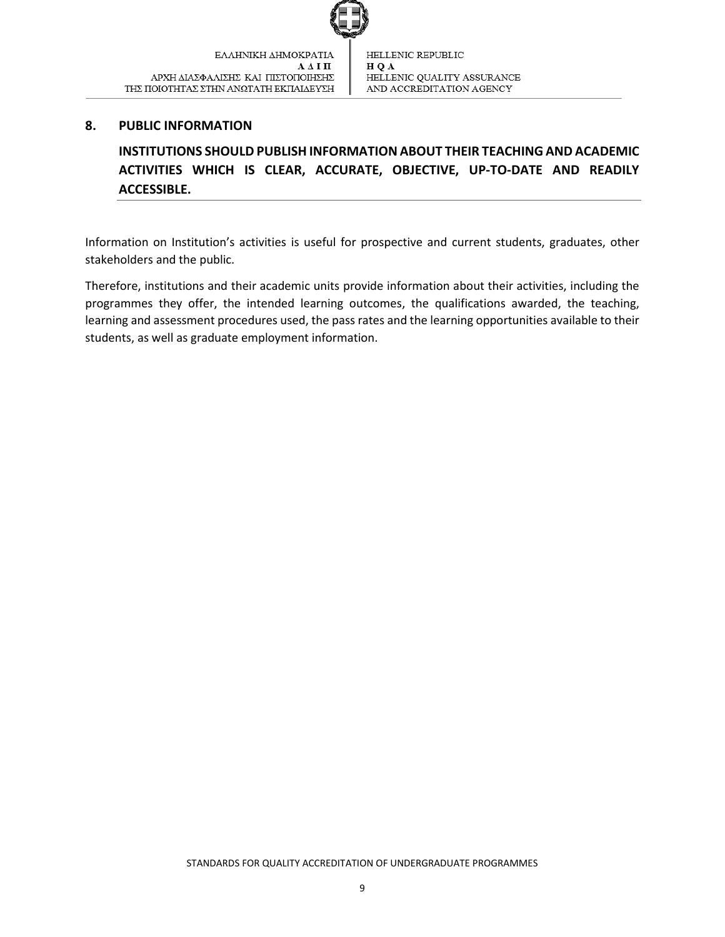#### <span id="page-9-0"></span>**8. PUBLIC INFORMATION**

**INSTITUTIONS SHOULD PUBLISH INFORMATION ABOUT THEIR TEACHING AND ACADEMIC ACTIVITIES WHICH IS CLEAR, ACCURATE, OBJECTIVE, UP-TO-DATE AND READILY ACCESSIBLE.**

Information on Institution's activities is useful for prospective and current students, graduates, other stakeholders and the public.

Therefore, institutions and their academic units provide information about their activities, including the programmes they offer, the intended learning outcomes, the qualifications awarded, the teaching, learning and assessment procedures used, the pass rates and the learning opportunities available to their students, as well as graduate employment information.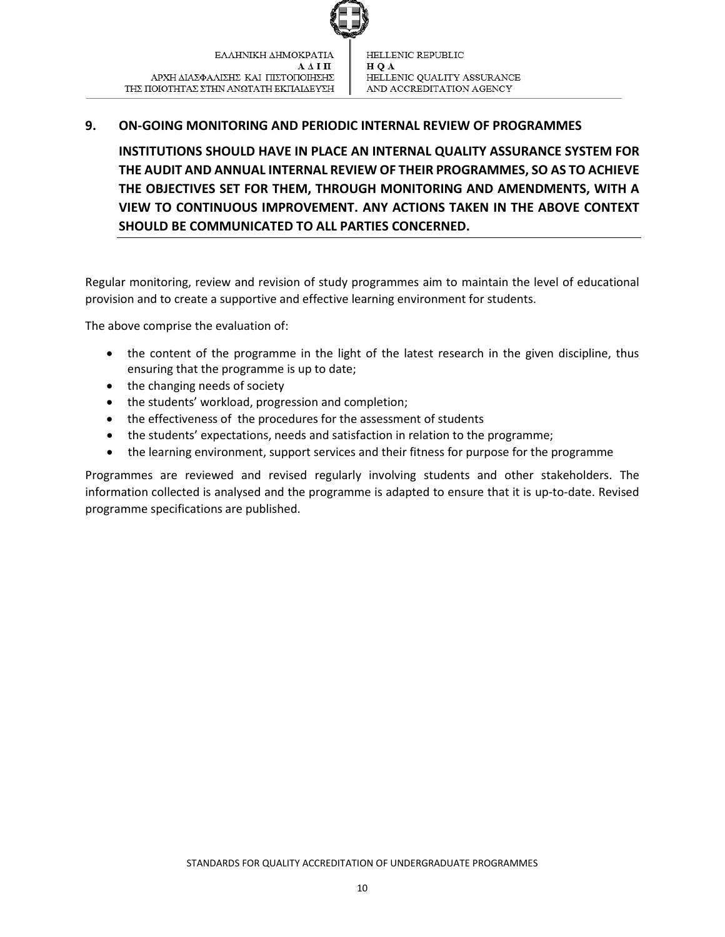

## <span id="page-10-0"></span>**9. ON-GOING MONITORING AND PERIODIC INTERNAL REVIEW OF PROGRAMMES**

**INSTITUTIONS SHOULD HAVE IN PLACE AN INTERNAL QUALITY ASSURANCE SYSTEM FOR THE AUDIT AND ANNUAL INTERNAL REVIEW OF THEIR PROGRAMMES, SO AS TO ACHIEVE THE OBJECTIVES SET FOR THEM, THROUGH MONITORING AND AMENDMENTS, WITH A VIEW TO CONTINUOUS IMPROVEMENT. ANY ACTIONS TAKEN IN THE ABOVE CONTEXT SHOULD BE COMMUNICATED TO ALL PARTIES CONCERNED.**

Regular monitoring, review and revision of study programmes aim to maintain the level of educational provision and to create a supportive and effective learning environment for students.

The above comprise the evaluation of:

- the content of the programme in the light of the latest research in the given discipline, thus ensuring that the programme is up to date;
- the changing needs of society
- the students' workload, progression and completion;
- the effectiveness of the procedures for the assessment of students
- the students' expectations, needs and satisfaction in relation to the programme;
- the learning environment, support services and their fitness for purpose for the programme

Programmes are reviewed and revised regularly involving students and other stakeholders. The information collected is analysed and the programme is adapted to ensure that it is up-to-date. Revised programme specifications are published.